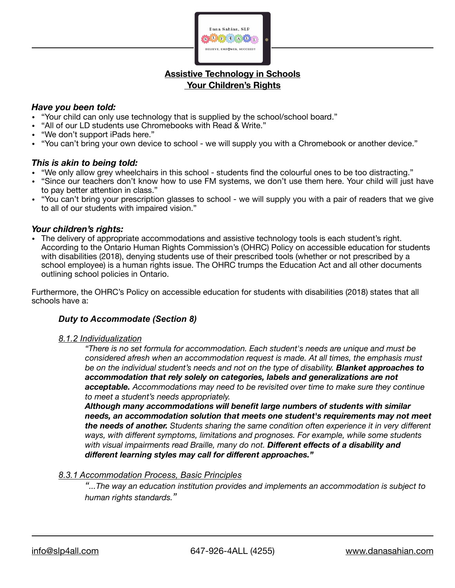

# **Assistive Technology in Schools Your Children's Rights**

### *Have you been told:*

- "Your child can only use technology that is supplied by the school/school board."
- "All of our LD students use Chromebooks with Read & Write."
- "We don't support iPads here."
- "You can't bring your own device to school we will supply you with a Chromebook or another device."

### *This is akin to being told:*

- "We only allow grey wheelchairs in this school students find the colourful ones to be too distracting."
- "Since our teachers don't know how to use FM systems, we don't use them here. Your child will just have to pay better attention in class."
- "You can't bring your prescription glasses to school we will supply you with a pair of readers that we give to all of our students with impaired vision."

#### *Your children's rights:*

• The delivery of appropriate accommodations and assistive technology tools is each student's right. According to the Ontario Human Rights Commission's (OHRC) Policy on accessible education for students with disabilities (2018), denying students use of their prescribed tools (whether or not prescribed by a school employee) is a human rights issue. The OHRC trumps the Education Act and all other documents outlining school policies in Ontario.

Furthermore, the OHRC's Policy on accessible education for students with disabilities (2018) states that all schools have a:

### *Duty to Accommodate (Section 8)*

#### *8.1.2 Individualization*

*"There is no set formula for accommodation. Each student's needs are unique and must be considered afresh when an accommodation request is made. At all times, the emphasis must be on the individual student's needs and not on the type of disability. Blanket approaches to accommodation that rely solely on categories, labels and generalizations are not acceptable. Accommodations may need to be revisited over time to make sure they continue to meet a student's needs appropriately.* 

*Although many accommodations will benefit large numbers of students with similar needs, an accommodation solution that meets one student's requirements may not meet the needs of another. Students sharing the same condition often experience it in very different ways, with different symptoms, limitations and prognoses. For example, while some students with visual impairments read Braille, many do not. Different effects of a disability and different learning styles may call for different approaches."* 

#### *8.3.1 Accommodation Process, Basic Principles*

*"...The way an education institution provides and implements an accommodation is subject to human rights standards."*